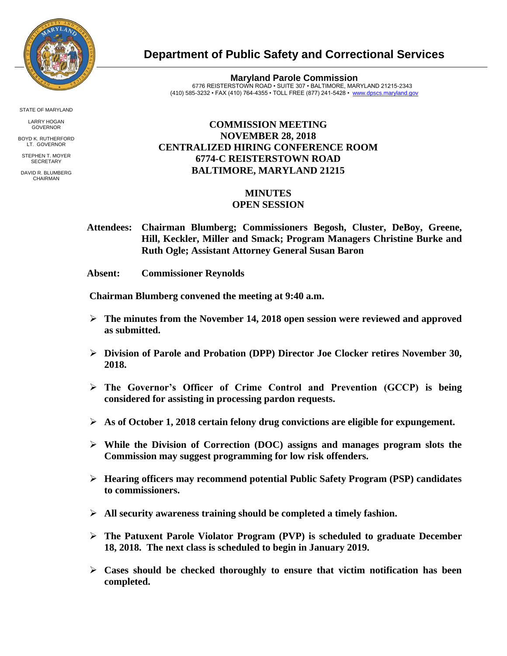

STATE OF MARYLAND

LARRY HOGAN GOVERNOR

BOYD K. RUTHERFORD LT. GOVERNOR STEPHEN T. MOYER

**SECRETARY** 

DAVID R. BLUMBERG CHAIRMAN

**Department of Public Safety and Correctional Services**

**Maryland Parole Commission** 6776 REISTERSTOWN ROAD • SUITE 307 • BALTIMORE, MARYLAND 21215-2343 (410) 585-3232 • FAX (410) 764-4355 • TOLL FREE (877) 241-5428 • [www.dpscs.maryland.gov](http://www.dpscs.maryland.gov/) 

## **COMMISSION MEETING NOVEMBER 28, 2018 CENTRALIZED HIRING CONFERENCE ROOM 6774-C REISTERSTOWN ROAD BALTIMORE, MARYLAND 21215**

## **MINUTES OPEN SESSION**

- **Attendees: Chairman Blumberg; Commissioners Begosh, Cluster, DeBoy, Greene, Hill, Keckler, Miller and Smack; Program Managers Christine Burke and Ruth Ogle; Assistant Attorney General Susan Baron**
- **Absent: Commissioner Reynolds**

 **Chairman Blumberg convened the meeting at 9:40 a.m.**

- **The minutes from the November 14, 2018 open session were reviewed and approved as submitted.**
- **Division of Parole and Probation (DPP) Director Joe Clocker retires November 30, 2018.**
- **The Governor's Officer of Crime Control and Prevention (GCCP) is being considered for assisting in processing pardon requests.**
- **As of October 1, 2018 certain felony drug convictions are eligible for expungement.**
- **While the Division of Correction (DOC) assigns and manages program slots the Commission may suggest programming for low risk offenders.**
- **Hearing officers may recommend potential Public Safety Program (PSP) candidates to commissioners.**
- **All security awareness training should be completed a timely fashion.**
- **The Patuxent Parole Violator Program (PVP) is scheduled to graduate December 18, 2018. The next class is scheduled to begin in January 2019.**
- **Cases should be checked thoroughly to ensure that victim notification has been completed.**